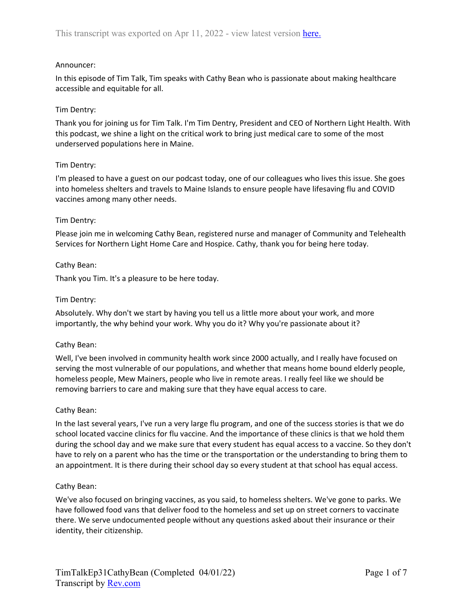# Announcer:

In this episode of Tim Talk, Tim speaks with Cathy Bean who is passionate about making healthcare accessible and equitable for all.

# Tim Dentry:

Thank you for joining us for Tim Talk. I'm Tim Dentry, President and CEO of Northern Light Health. With this podcast, we shine a light on the critical work to bring just medical care to some of the most underserved populations here in Maine.

# Tim Dentry:

I'm pleased to have a guest on our podcast today, one of our colleagues who lives this issue. She goes into homeless shelters and travels to Maine Islands to ensure people have lifesaving flu and COVID vaccines among many other needs.

# Tim Dentry:

Please join me in welcoming Cathy Bean, registered nurse and manager of Community and Telehealth Services for Northern Light Home Care and Hospice. Cathy, thank you for being here today.

# Cathy Bean:

Thank you Tim. It's a pleasure to be here today.

# Tim Dentry:

Absolutely. Why don't we start by having you tell us a little more about your work, and more importantly, the why behind your work. Why you do it? Why you're passionate about it?

### Cathy Bean:

Well, I've been involved in community health work since 2000 actually, and I really have focused on serving the most vulnerable of our populations, and whether that means home bound elderly people, homeless people, Mew Mainers, people who live in remote areas. I really feel like we should be removing barriers to care and making sure that they have equal access to care.

### Cathy Bean:

In the last several years, I've run a very large flu program, and one of the success stories is that we do school located vaccine clinics for flu vaccine. And the importance of these clinics is that we hold them during the school day and we make sure that every student has equal access to a vaccine. So they don't have to rely on a parent who has the time or the transportation or the understanding to bring them to an appointment. It is there during their school day so every student at that school has equal access.

### Cathy Bean:

We've also focused on bringing vaccines, as you said, to homeless shelters. We've gone to parks. We have followed food vans that deliver food to the homeless and set up on street corners to vaccinate there. We serve undocumented people without any questions asked about their insurance or their identity, their citizenship.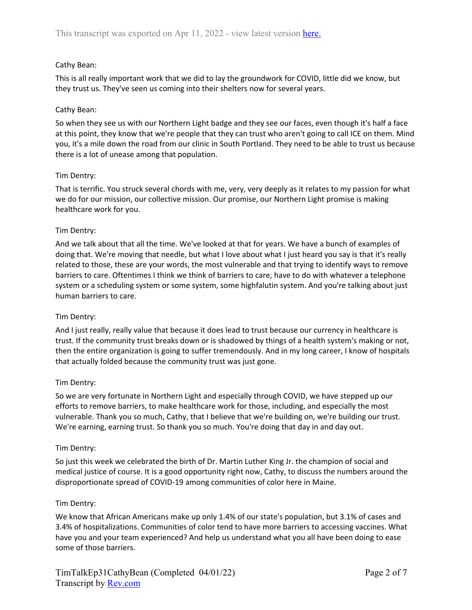# Cathy Bean:

This is all really important work that we did to lay the groundwork for COVID, little did we know, but they trust us. They've seen us coming into their shelters now for several years.

# Cathy Bean:

So when they see us with our Northern Light badge and they see our faces, even though it's half a face at this point, they know that we're people that they can trust who aren't going to call ICE on them. Mind you, it's a mile down the road from our clinic in South Portland. They need to be able to trust us because there is a lot of unease among that population.

# Tim Dentry:

That is terrific. You struck several chords with me, very, very deeply as it relates to my passion for what we do for our mission, our collective mission. Our promise, our Northern Light promise is making healthcare work for you.

# Tim Dentry:

And we talk about that all the time. We've looked at that for years. We have a bunch of examples of doing that. We're moving that needle, but what I love about what I just heard you say is that it's really related to those, these are your words, the most vulnerable and that trying to identify ways to remove barriers to care. Oftentimes I think we think of barriers to care, have to do with whatever a telephone system or a scheduling system or some system, some highfalutin system. And you're talking about just human barriers to care.

### Tim Dentry:

And I just really, really value that because it does lead to trust because our currency in healthcare is trust. If the community trust breaks down or is shadowed by things of a health system's making or not, then the entire organization is going to suffer tremendously. And in my long career, I know of hospitals that actually folded because the community trust was just gone.

### Tim Dentry:

So we are very fortunate in Northern Light and especially through COVID, we have stepped up our efforts to remove barriers, to make healthcare work for those, including, and especially the most vulnerable. Thank you so much, Cathy, that I believe that we're building on, we're building our trust. We're earning, earning trust. So thank you so much. You're doing that day in and day out.

### Tim Dentry:

So just this week we celebrated the birth of Dr. Martin Luther King Jr. the champion of social and medical justice of course. It is a good opportunity right now, Cathy, to discuss the numbers around the disproportionate spread of COVID-19 among communities of color here in Maine.

### Tim Dentry:

We know that African Americans make up only 1.4% of our state's population, but 3.1% of cases and 3.4% of hospitalizations. Communities of color tend to have more barriers to accessing vaccines. What have you and your team experienced? And help us understand what you all have been doing to ease some of those barriers.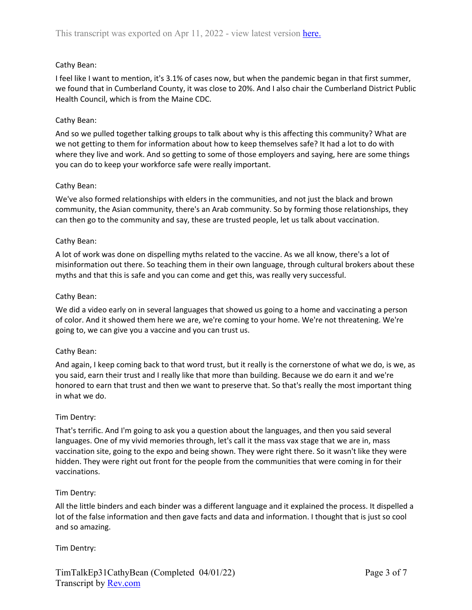# Cathy Bean:

I feel like I want to mention, it's 3.1% of cases now, but when the pandemic began in that first summer, we found that in Cumberland County, it was close to 20%. And I also chair the Cumberland District Public Health Council, which is from the Maine CDC.

# Cathy Bean:

And so we pulled together talking groups to talk about why is this affecting this community? What are we not getting to them for information about how to keep themselves safe? It had a lot to do with where they live and work. And so getting to some of those employers and saying, here are some things you can do to keep your workforce safe were really important.

# Cathy Bean:

We've also formed relationships with elders in the communities, and not just the black and brown community, the Asian community, there's an Arab community. So by forming those relationships, they can then go to the community and say, these are trusted people, let us talk about vaccination.

# Cathy Bean:

A lot of work was done on dispelling myths related to the vaccine. As we all know, there's a lot of misinformation out there. So teaching them in their own language, through cultural brokers about these myths and that this is safe and you can come and get this, was really very successful.

# Cathy Bean:

We did a video early on in several languages that showed us going to a home and vaccinating a person of color. And it showed them here we are, we're coming to your home. We're not threatening. We're going to, we can give you a vaccine and you can trust us.

### Cathy Bean:

And again, I keep coming back to that word trust, but it really is the cornerstone of what we do, is we, as you said, earn their trust and I really like that more than building. Because we do earn it and we're honored to earn that trust and then we want to preserve that. So that's really the most important thing in what we do.

### Tim Dentry:

That's terrific. And I'm going to ask you a question about the languages, and then you said several languages. One of my vivid memories through, let's call it the mass vax stage that we are in, mass vaccination site, going to the expo and being shown. They were right there. So it wasn't like they were hidden. They were right out front for the people from the communities that were coming in for their vaccinations.

### Tim Dentry:

All the little binders and each binder was a different language and it explained the process. It dispelled a lot of the false information and then gave facts and data and information. I thought that is just so cool and so amazing.

# Tim Dentry: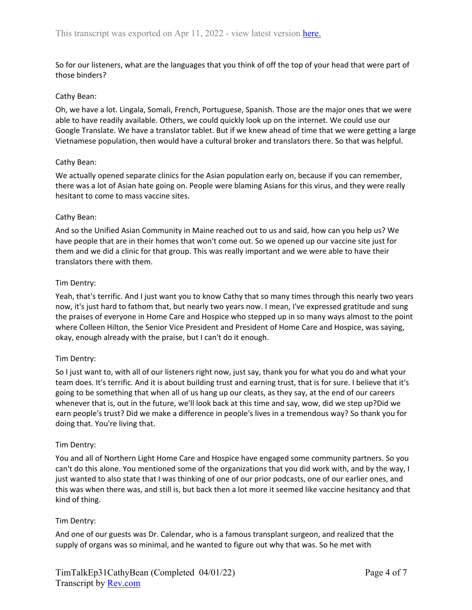So for our listeners, what are the languages that you think of off the top of your head that were part of those binders?

#### Cathy Bean:

Oh, we have a lot. Lingala, Somali, French, Portuguese, Spanish. Those are the major ones that we were able to have readily available. Others, we could quickly look up on the internet. We could use our Google Translate. We have a translator tablet. But if we knew ahead of time that we were getting a large Vietnamese population, then would have a cultural broker and translators there. So that was helpful.

#### Cathy Bean:

We actually opened separate clinics for the Asian population early on, because if you can remember, there was a lot of Asian hate going on. People were blaming Asians for this virus, and they were really hesitant to come to mass vaccine sites.

#### Cathy Bean:

And so the Unified Asian Community in Maine reached out to us and said, how can you help us? We have people that are in their homes that won't come out. So we opened up our vaccine site just for them and we did a clinic for that group. This was really important and we were able to have their translators there with them.

#### Tim Dentry:

Yeah, that's terrific. And I just want you to know Cathy that so many times through this nearly two years now, it's just hard to fathom that, but nearly two years now. I mean, I've expressed gratitude and sung the praises of everyone in Home Care and Hospice who stepped up in so many ways almost to the point where Colleen Hilton, the Senior Vice President and President of Home Care and Hospice, was saying, okay, enough already with the praise, but I can't do it enough.

### Tim Dentry:

So I just want to, with all of our listeners right now, just say, thank you for what you do and what your team does. It's terrific. And it is about building trust and earning trust, that is for sure. I believe that it's going to be something that when all of us hang up our cleats, as they say, at the end of our careers whenever that is, out in the future, we'll look back at this time and say, wow, did we step up?Did we earn people's trust? Did we make a difference in people's lives in a tremendous way? So thank you for doing that. You're living that.

### Tim Dentry:

You and all of Northern Light Home Care and Hospice have engaged some community partners. So you can't do this alone. You mentioned some of the organizations that you did work with, and by the way, I just wanted to also state that I was thinking of one of our prior podcasts, one of our earlier ones, and this was when there was, and still is, but back then a lot more it seemed like vaccine hesitancy and that kind of thing.

### Tim Dentry:

And one of our guests was Dr. Calendar, who is a famous transplant surgeon, and realized that the supply of organs was so minimal, and he wanted to figure out why that was. So he met with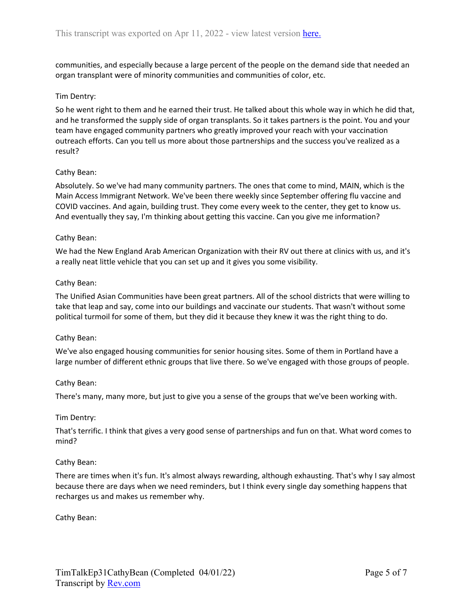communities, and especially because a large percent of the people on the demand side that needed an organ transplant were of minority communities and communities of color, etc.

# Tim Dentry:

So he went right to them and he earned their trust. He talked about this whole way in which he did that, and he transformed the supply side of organ transplants. So it takes partners is the point. You and your team have engaged community partners who greatly improved your reach with your vaccination outreach efforts. Can you tell us more about those partnerships and the success you've realized as a result?

### Cathy Bean:

Absolutely. So we've had many community partners. The ones that come to mind, MAIN, which is the Main Access Immigrant Network. We've been there weekly since September offering flu vaccine and COVID vaccines. And again, building trust. They come every week to the center, they get to know us. And eventually they say, I'm thinking about getting this vaccine. Can you give me information?

### Cathy Bean:

We had the New England Arab American Organization with their RV out there at clinics with us, and it's a really neat little vehicle that you can set up and it gives you some visibility.

### Cathy Bean:

The Unified Asian Communities have been great partners. All of the school districts that were willing to take that leap and say, come into our buildings and vaccinate our students. That wasn't without some political turmoil for some of them, but they did it because they knew it was the right thing to do.

### Cathy Bean:

We've also engaged housing communities for senior housing sites. Some of them in Portland have a large number of different ethnic groups that live there. So we've engaged with those groups of people.

### Cathy Bean:

There's many, many more, but just to give you a sense of the groups that we've been working with.

### Tim Dentry:

That's terrific. I think that gives a very good sense of partnerships and fun on that. What word comes to mind?

### Cathy Bean:

There are times when it's fun. It's almost always rewarding, although exhausting. That's why I say almost because there are days when we need reminders, but I think every single day something happens that recharges us and makes us remember why.

Cathy Bean: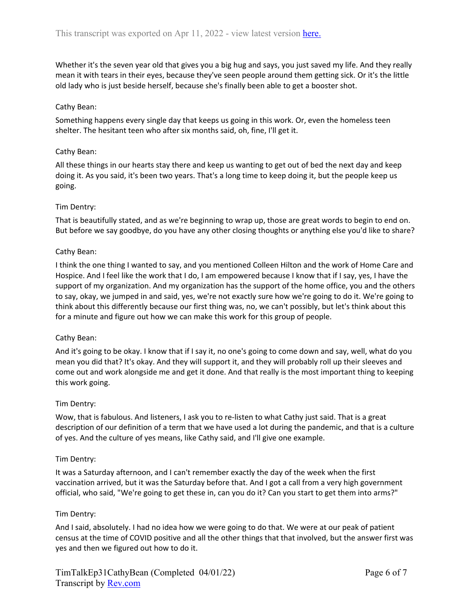Whether it's the seven year old that gives you a big hug and says, you just saved my life. And they really mean it with tears in their eyes, because they've seen people around them getting sick. Or it's the little old lady who is just beside herself, because she's finally been able to get a booster shot.

### Cathy Bean:

Something happens every single day that keeps us going in this work. Or, even the homeless teen shelter. The hesitant teen who after six months said, oh, fine, I'll get it.

### Cathy Bean:

All these things in our hearts stay there and keep us wanting to get out of bed the next day and keep doing it. As you said, it's been two years. That's a long time to keep doing it, but the people keep us going.

# Tim Dentry:

That is beautifully stated, and as we're beginning to wrap up, those are great words to begin to end on. But before we say goodbye, do you have any other closing thoughts or anything else you'd like to share?

### Cathy Bean:

I think the one thing I wanted to say, and you mentioned Colleen Hilton and the work of Home Care and Hospice. And I feel like the work that I do, I am empowered because I know that if I say, yes, I have the support of my organization. And my organization has the support of the home office, you and the others to say, okay, we jumped in and said, yes, we're not exactly sure how we're going to do it. We're going to think about this differently because our first thing was, no, we can't possibly, but let's think about this for a minute and figure out how we can make this work for this group of people.

### Cathy Bean:

And it's going to be okay. I know that if I say it, no one's going to come down and say, well, what do you mean you did that? It's okay. And they will support it, and they will probably roll up their sleeves and come out and work alongside me and get it done. And that really is the most important thing to keeping this work going.

### Tim Dentry:

Wow, that is fabulous. And listeners, I ask you to re-listen to what Cathy just said. That is a great description of our definition of a term that we have used a lot during the pandemic, and that is a culture of yes. And the culture of yes means, like Cathy said, and I'll give one example.

### Tim Dentry:

It was a Saturday afternoon, and I can't remember exactly the day of the week when the first vaccination arrived, but it was the Saturday before that. And I got a call from a very high government official, who said, "We're going to get these in, can you do it? Can you start to get them into arms?"

### Tim Dentry:

And I said, absolutely. I had no idea how we were going to do that. We were at our peak of patient census at the time of COVID positive and all the other things that that involved, but the answer first was yes and then we figured out how to do it.